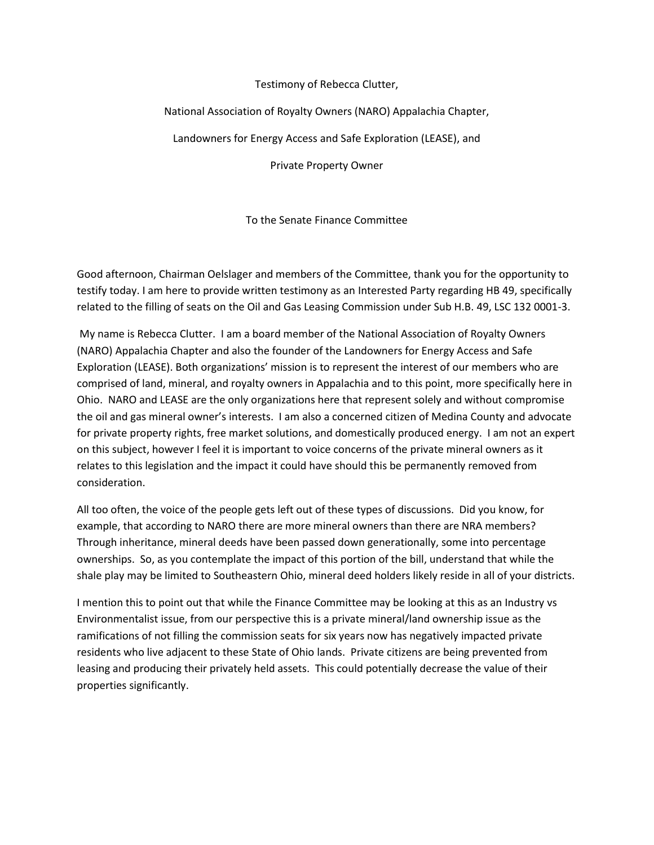## Testimony of Rebecca Clutter,

## National Association of Royalty Owners (NARO) Appalachia Chapter,

Landowners for Energy Access and Safe Exploration (LEASE), and

Private Property Owner

To the Senate Finance Committee

Good afternoon, Chairman Oelslager and members of the Committee, thank you for the opportunity to testify today. I am here to provide written testimony as an Interested Party regarding HB 49, specifically related to the filling of seats on the Oil and Gas Leasing Commission under Sub H.B. 49, LSC 132 0001-3.

My name is Rebecca Clutter. I am a board member of the National Association of Royalty Owners (NARO) Appalachia Chapter and also the founder of the Landowners for Energy Access and Safe Exploration (LEASE). Both organizations' mission is to represent the interest of our members who are comprised of land, mineral, and royalty owners in Appalachia and to this point, more specifically here in Ohio. NARO and LEASE are the only organizations here that represent solely and without compromise the oil and gas mineral owner's interests. I am also a concerned citizen of Medina County and advocate for private property rights, free market solutions, and domestically produced energy. I am not an expert on this subject, however I feel it is important to voice concerns of the private mineral owners as it relates to this legislation and the impact it could have should this be permanently removed from consideration.

All too often, the voice of the people gets left out of these types of discussions. Did you know, for example, that according to NARO there are more mineral owners than there are NRA members? Through inheritance, mineral deeds have been passed down generationally, some into percentage ownerships. So, as you contemplate the impact of this portion of the bill, understand that while the shale play may be limited to Southeastern Ohio, mineral deed holders likely reside in all of your districts.

I mention this to point out that while the Finance Committee may be looking at this as an Industry vs Environmentalist issue, from our perspective this is a private mineral/land ownership issue as the ramifications of not filling the commission seats for six years now has negatively impacted private residents who live adjacent to these State of Ohio lands. Private citizens are being prevented from leasing and producing their privately held assets. This could potentially decrease the value of their properties significantly.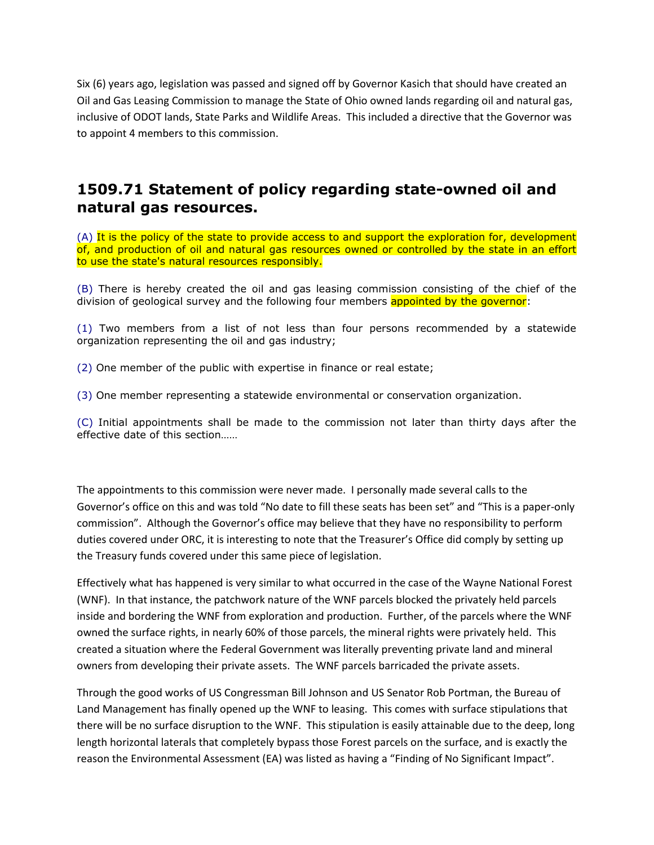Six (6) years ago, legislation was passed and signed off by Governor Kasich that should have created an Oil and Gas Leasing Commission to manage the State of Ohio owned lands regarding oil and natural gas, inclusive of ODOT lands, State Parks and Wildlife Areas. This included a directive that the Governor was to appoint 4 members to this commission.

## **1509.71 Statement of policy regarding state-owned oil and natural gas resources.**

(A) It is the policy of the state to provide access to and support the exploration for, development of, and production of oil and natural gas resources owned or controlled by the state in an effort to use the state's natural resources responsibly.

(B) There is hereby created the oil and gas leasing commission consisting of the chief of the division of geological survey and the following four members appointed by the governor:

(1) Two members from a list of not less than four persons recommended by a statewide organization representing the oil and gas industry;

(2) One member of the public with expertise in finance or real estate;

(3) One member representing a statewide environmental or conservation organization.

(C) Initial appointments shall be made to the commission not later than thirty days after the effective date of this section……

The appointments to this commission were never made. I personally made several calls to the Governor's office on this and was told "No date to fill these seats has been set" and "This is a paper-only commission". Although the Governor's office may believe that they have no responsibility to perform duties covered under ORC, it is interesting to note that the Treasurer's Office did comply by setting up the Treasury funds covered under this same piece of legislation.

Effectively what has happened is very similar to what occurred in the case of the Wayne National Forest (WNF). In that instance, the patchwork nature of the WNF parcels blocked the privately held parcels inside and bordering the WNF from exploration and production. Further, of the parcels where the WNF owned the surface rights, in nearly 60% of those parcels, the mineral rights were privately held. This created a situation where the Federal Government was literally preventing private land and mineral owners from developing their private assets. The WNF parcels barricaded the private assets.

Through the good works of US Congressman Bill Johnson and US Senator Rob Portman, the Bureau of Land Management has finally opened up the WNF to leasing. This comes with surface stipulations that there will be no surface disruption to the WNF. This stipulation is easily attainable due to the deep, long length horizontal laterals that completely bypass those Forest parcels on the surface, and is exactly the reason the Environmental Assessment (EA) was listed as having a "Finding of No Significant Impact".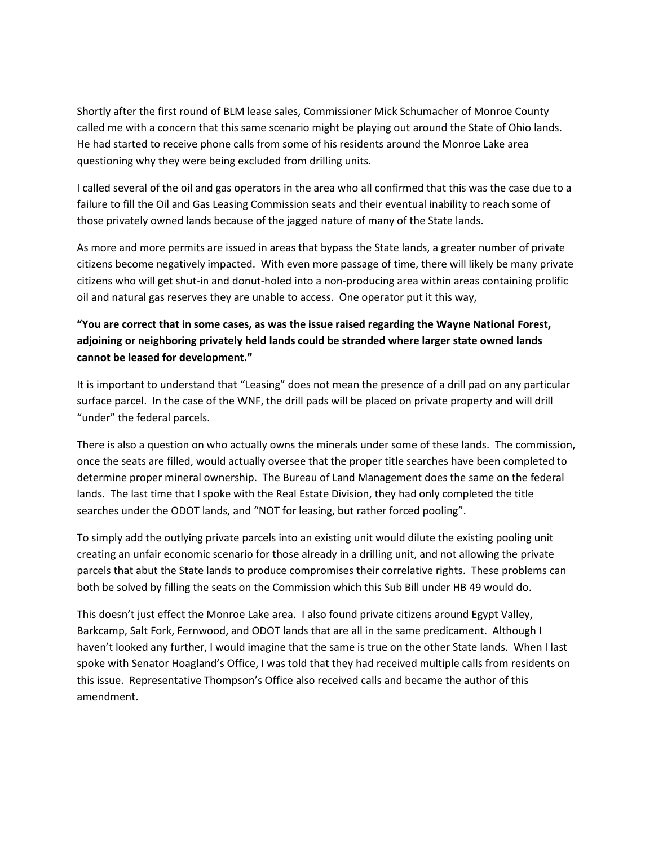Shortly after the first round of BLM lease sales, Commissioner Mick Schumacher of Monroe County called me with a concern that this same scenario might be playing out around the State of Ohio lands. He had started to receive phone calls from some of his residents around the Monroe Lake area questioning why they were being excluded from drilling units.

I called several of the oil and gas operators in the area who all confirmed that this was the case due to a failure to fill the Oil and Gas Leasing Commission seats and their eventual inability to reach some of those privately owned lands because of the jagged nature of many of the State lands.

As more and more permits are issued in areas that bypass the State lands, a greater number of private citizens become negatively impacted. With even more passage of time, there will likely be many private citizens who will get shut-in and donut-holed into a non-producing area within areas containing prolific oil and natural gas reserves they are unable to access. One operator put it this way,

## **"You are correct that in some cases, as was the issue raised regarding the Wayne National Forest, adjoining or neighboring privately held lands could be stranded where larger state owned lands cannot be leased for development."**

It is important to understand that "Leasing" does not mean the presence of a drill pad on any particular surface parcel. In the case of the WNF, the drill pads will be placed on private property and will drill "under" the federal parcels.

There is also a question on who actually owns the minerals under some of these lands. The commission, once the seats are filled, would actually oversee that the proper title searches have been completed to determine proper mineral ownership. The Bureau of Land Management does the same on the federal lands. The last time that I spoke with the Real Estate Division, they had only completed the title searches under the ODOT lands, and "NOT for leasing, but rather forced pooling".

To simply add the outlying private parcels into an existing unit would dilute the existing pooling unit creating an unfair economic scenario for those already in a drilling unit, and not allowing the private parcels that abut the State lands to produce compromises their correlative rights. These problems can both be solved by filling the seats on the Commission which this Sub Bill under HB 49 would do.

This doesn't just effect the Monroe Lake area. I also found private citizens around Egypt Valley, Barkcamp, Salt Fork, Fernwood, and ODOT lands that are all in the same predicament. Although I haven't looked any further, I would imagine that the same is true on the other State lands. When I last spoke with Senator Hoagland's Office, I was told that they had received multiple calls from residents on this issue. Representative Thompson's Office also received calls and became the author of this amendment.